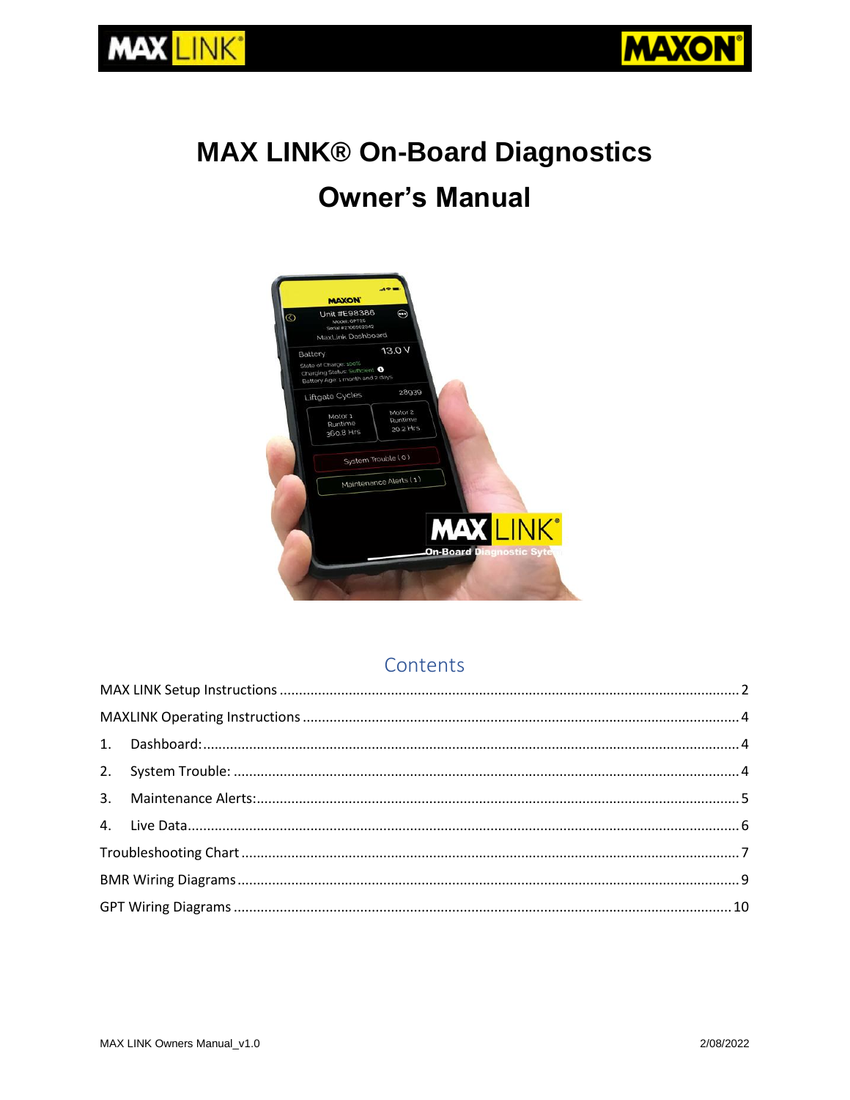

# **MAX LINK® On-Board Diagnostics Owner's Manual**



# <span id="page-0-0"></span>Contents

**MAX LINK®**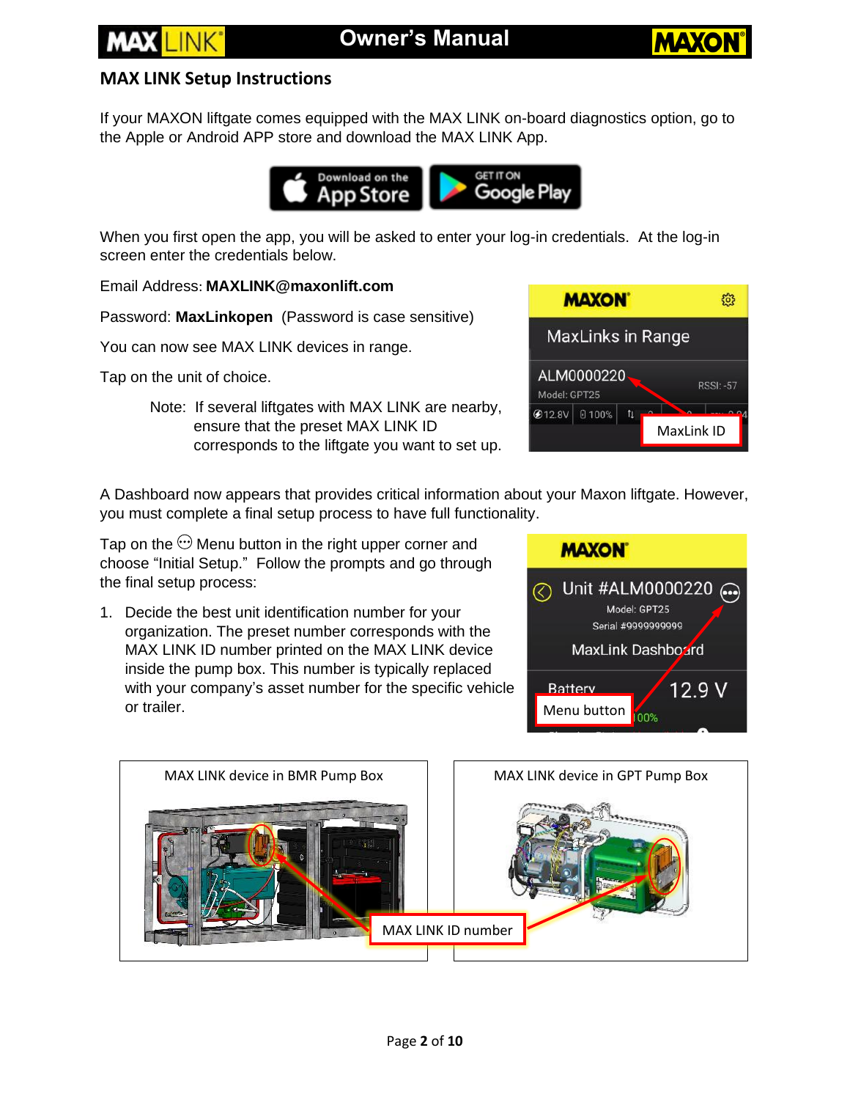

### **MAX LINK Setup Instructions**

If your MAXON liftgate comes equipped with the MAX LINK on-board diagnostics option, go to the Apple or Android APP store and download the MAX LINK App.



When you first open the app, you will be asked to enter your log-in credentials. At the log-in screen enter the credentials below.

Email Address: **MAXLINK@maxonlift.com**

Password: **MaxLinkopen** (Password is case sensitive)

You can now see MAX LINK devices in range.

Tap on the unit of choice.

Note: If several liftgates with MAX LINK are nearby, ensure that the preset MAX LINK ID corresponds to the liftgate you want to set up.



A Dashboard now appears that provides critical information about your Maxon liftgate. However, you must complete a final setup process to have full functionality.

Tap on the  $\odot$  Menu button in the right upper corner and choose "Initial Setup." Follow the prompts and go through the final setup process:

1. Decide the best unit identification number for your organization. The preset number corresponds with the MAX LINK ID number printed on the MAX LINK device inside the pump box. This number is typically replaced with your company's asset number for the specific vehicle or trailer. The contraction of trailer.



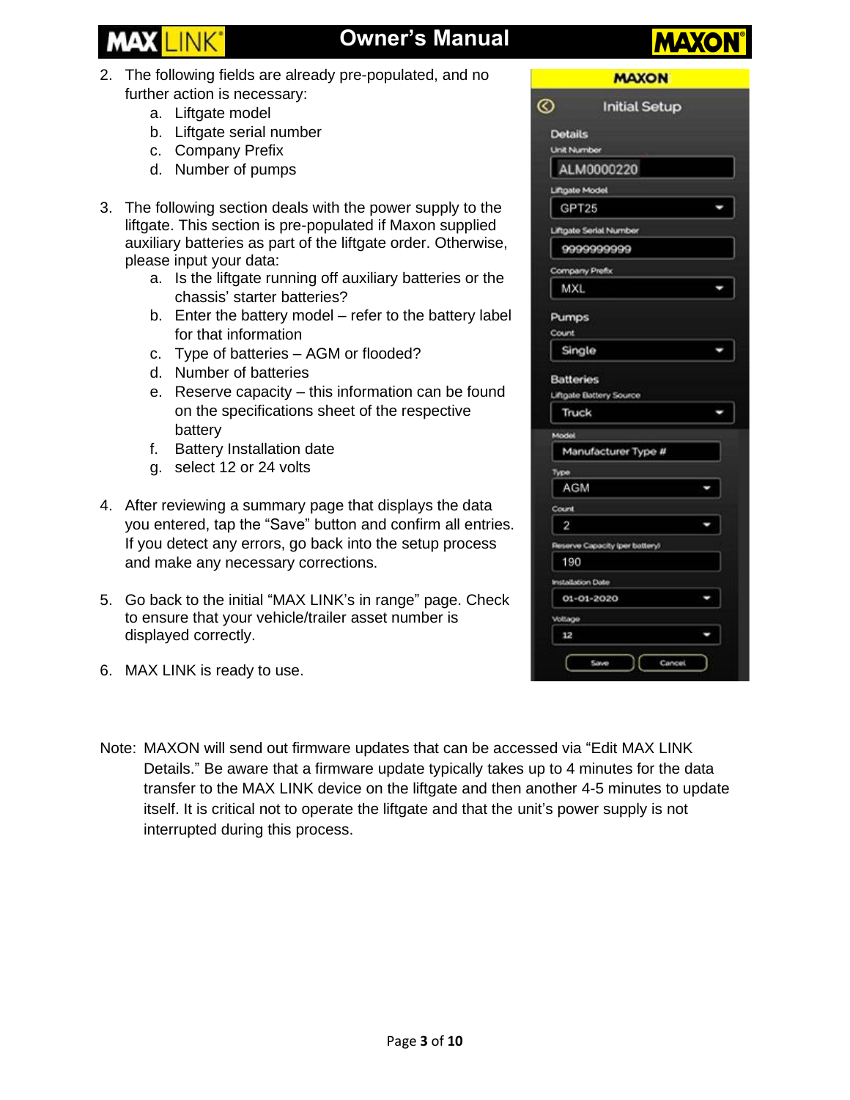# **Owner's Manual**

- 2. The following fields are already pre-populated, and no further action is necessary:
	- a. Liftgate model
	- b. Liftgate serial number
	- c. Company Prefix
	- d. Number of pumps
- 3. The following section deals with the power supply to the liftgate. This section is pre-populated if Maxon supplied auxiliary batteries as part of the liftgate order. Otherwise, please input your data:
	- a. Is the liftgate running off auxiliary batteries or the chassis' starter batteries?
	- b. Enter the battery model refer to the battery label for that information
	- c. Type of batteries AGM or flooded?
	- d. Number of batteries
	- e. Reserve capacity this information can be found on the specifications sheet of the respective battery
	- f. Battery Installation date
	- g. select 12 or 24 volts
- 4. After reviewing a summary page that displays the data you entered, tap the "Save" button and confirm all entries. If you detect any errors, go back into the setup process and make any necessary corrections.
- 5. Go back to the initial "MAX LINK's in range" page. Check to ensure that your vehicle/trailer asset number is displayed correctly.
- 6. MAX LINK is ready to use.

| $_{\mathord\odot}$                   | <b>Initial Setup</b>           |   |
|--------------------------------------|--------------------------------|---|
| <b>Details</b><br><b>Unit Number</b> |                                |   |
|                                      | ALM0000220                     |   |
| <b>Liftgate Model</b>                |                                |   |
| GPT25                                |                                |   |
|                                      | Liftgate Serial Number         |   |
|                                      | 9999999999                     |   |
| Company Prefix                       |                                |   |
| <b>MXL</b>                           |                                |   |
| Pumps<br>Count                       |                                |   |
| Single                               |                                | ۰ |
| <b>Batteries</b><br>Truck            | Liftgate Battery Source        | J |
| Model                                |                                |   |
|                                      | Manufacturer Type #            |   |
| Type                                 |                                |   |
| <b>AGM</b>                           |                                |   |
| Count                                |                                |   |
| 2                                    |                                |   |
|                                      | Reserve Capacity (per battery) |   |
| 190                                  |                                |   |
| Installation Date                    |                                |   |
| 01-01-2020                           |                                | ٠ |
| Voltage                              |                                |   |
| 12                                   |                                | ٠ |
|                                      | Save<br>Cancel                 |   |

Note: MAXON will send out firmware updates that can be accessed via "Edit MAX LINK Details." Be aware that a firmware update typically takes up to 4 minutes for the data transfer to the MAX LINK device on the liftgate and then another 4-5 minutes to update itself. It is critical not to operate the liftgate and that the unit's power supply is not interrupted during this process.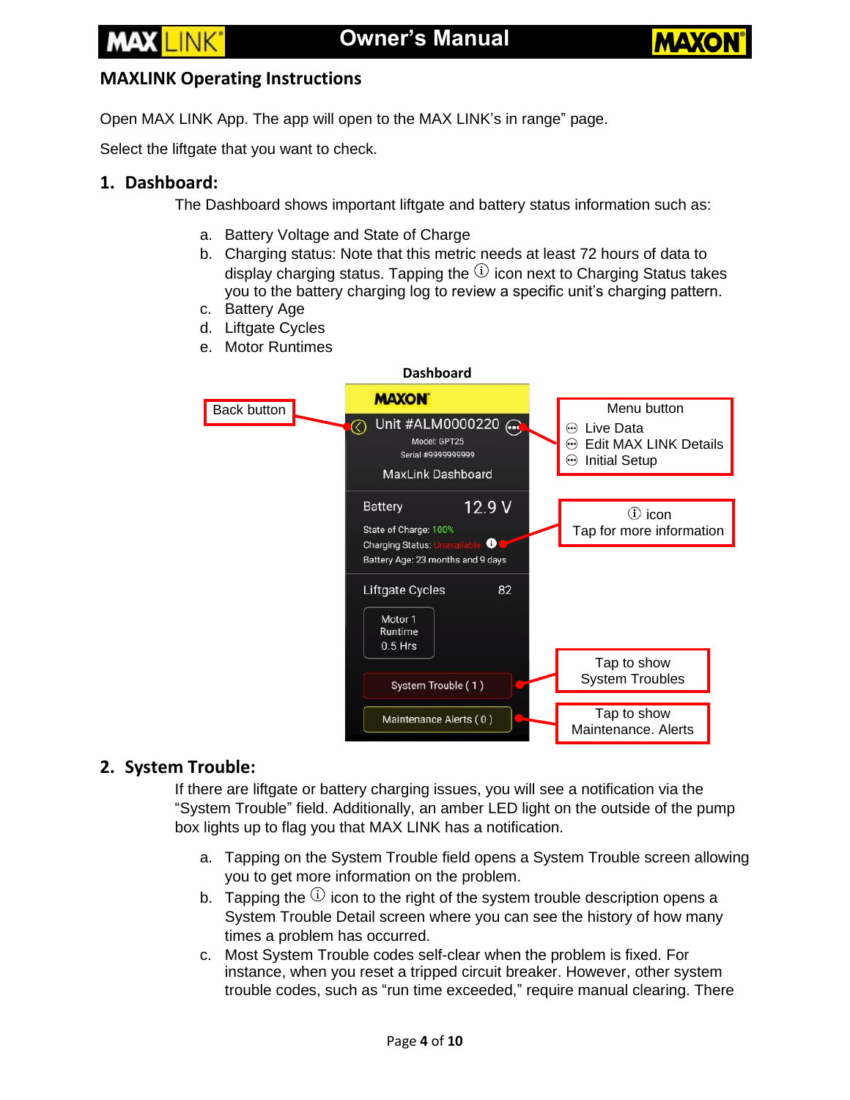

#### <span id="page-3-0"></span>**MAXLINK Operating Instructions**

Open MAX LINK App. The app will open to the MAX LINK's in range" page.

Select the liftgate that you want to check.

#### <span id="page-3-1"></span>**1. Dashboard:**

The Dashboard shows important liftgate and battery status information such as:

- a. Battery Voltage and State of Charge
- b. Charging status: Note that this metric needs at least 72 hours of data to display charging status. Tapping the  $(i)$  icon next to Charging Status takes you to the battery charging log to review a specific unit's charging pattern.
- c. Battery Age
- d. Liftgate Cycles
- e. Motor Runtimes



#### <span id="page-3-2"></span>**2. System Trouble:**

If there are liftgate or battery charging issues, you will see a notification via the "System Trouble" field. Additionally, an amber LED light on the outside of the pump box lights up to flag you that MAX LINK has a notification.

- a. Tapping on the System Trouble field opens a System Trouble screen allowing you to get more information on the problem.
- b. Tapping the  $(i)$  icon to the right of the system trouble description opens a System Trouble Detail screen where you can see the history of how many times a problem has occurred.
- c. Most System Trouble codes self-clear when the problem is fixed. For instance, when you reset a tripped circuit breaker. However, other system trouble codes, such as "run time exceeded," require manual clearing. There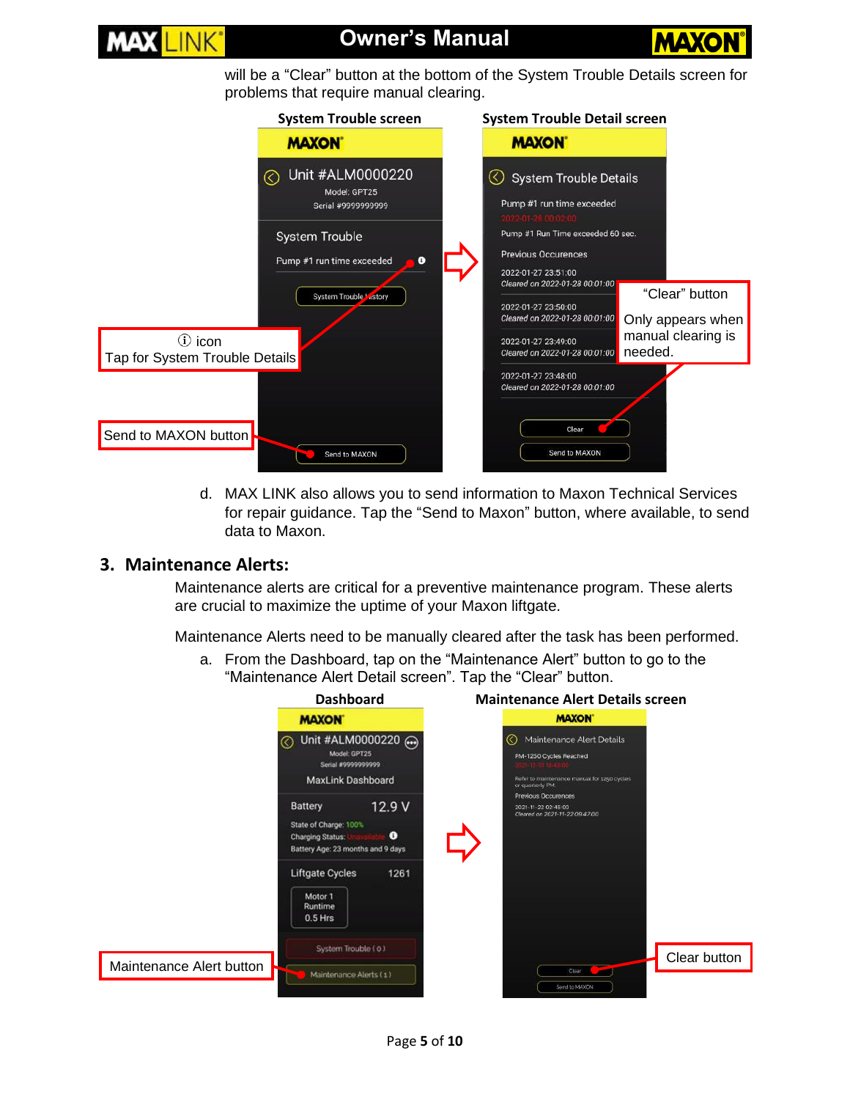

# **Owner's Manual**



will be a "Clear" button at the bottom of the System Trouble Details screen for problems that require manual clearing.



d. MAX LINK also allows you to send information to Maxon Technical Services for repair guidance. Tap the "Send to Maxon" button, where available, to send data to Maxon.

#### <span id="page-4-0"></span>**3. Maintenance Alerts:**

Maintenance alerts are critical for a preventive maintenance program. These alerts are crucial to maximize the uptime of your Maxon liftgate.

Maintenance Alerts need to be manually cleared after the task has been performed.

a. From the Dashboard, tap on the "Maintenance Alert" button to go to the "Maintenance Alert Detail screen". Tap the "Clear" button.

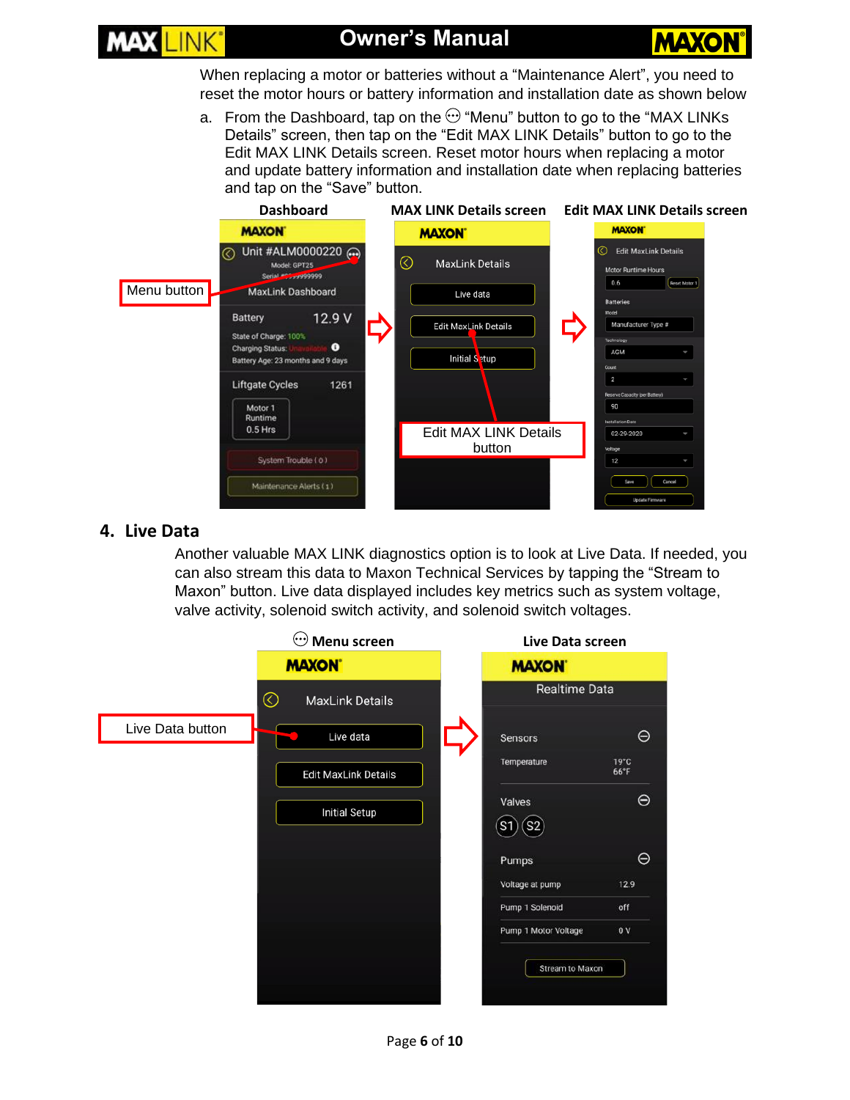

When replacing a motor or batteries without a "Maintenance Alert", you need to reset the motor hours or battery information and installation date as shown below

a. From the Dashboard, tap on the  $\odot$  "Menu" button to go to the "MAX LINKs Details" screen, then tap on the "Edit MAX LINK Details" button to go to the Edit MAX LINK Details screen. Reset motor hours when replacing a motor and update battery information and installation date when replacing batteries and tap on the "Save" button.



#### <span id="page-5-0"></span>**4. Live Data**

Another valuable MAX LINK diagnostics option is to look at Live Data. If needed, you can also stream this data to Maxon Technical Services by tapping the "Stream to Maxon" button. Live data displayed includes key metrics such as system voltage, valve activity, solenoid switch activity, and solenoid switch voltages.

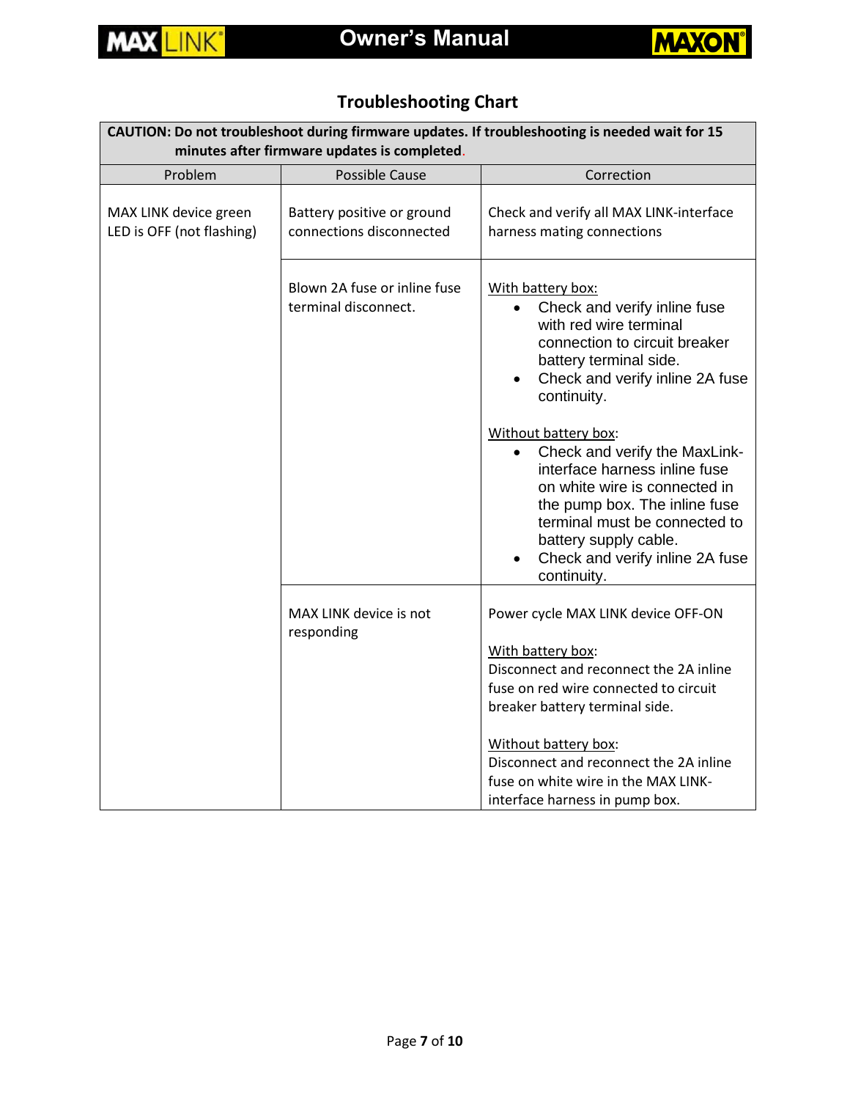



# **Troubleshooting Chart**

<span id="page-6-0"></span>

| CAUTION: Do not troubleshoot during firmware updates. If troubleshooting is needed wait for 15<br>minutes after firmware updates is completed. |                                                        |                                                                                                                                                                                                                                                                                                                                                                                                                                                                                                                      |  |  |  |
|------------------------------------------------------------------------------------------------------------------------------------------------|--------------------------------------------------------|----------------------------------------------------------------------------------------------------------------------------------------------------------------------------------------------------------------------------------------------------------------------------------------------------------------------------------------------------------------------------------------------------------------------------------------------------------------------------------------------------------------------|--|--|--|
| Problem                                                                                                                                        | <b>Possible Cause</b>                                  | Correction                                                                                                                                                                                                                                                                                                                                                                                                                                                                                                           |  |  |  |
| MAX LINK device green<br>LED is OFF (not flashing)                                                                                             | Battery positive or ground<br>connections disconnected | Check and verify all MAX LINK-interface<br>harness mating connections                                                                                                                                                                                                                                                                                                                                                                                                                                                |  |  |  |
|                                                                                                                                                | Blown 2A fuse or inline fuse<br>terminal disconnect.   | With battery box:<br>Check and verify inline fuse<br>$\bullet$<br>with red wire terminal<br>connection to circuit breaker<br>battery terminal side.<br>Check and verify inline 2A fuse<br>$\bullet$<br>continuity.<br>Without battery box:<br>Check and verify the MaxLink-<br>$\bullet$<br>interface harness inline fuse<br>on white wire is connected in<br>the pump box. The inline fuse<br>terminal must be connected to<br>battery supply cable.<br>Check and verify inline 2A fuse<br>$\bullet$<br>continuity. |  |  |  |
|                                                                                                                                                | MAX LINK device is not<br>responding                   | Power cycle MAX LINK device OFF-ON<br>With battery box:<br>Disconnect and reconnect the 2A inline<br>fuse on red wire connected to circuit<br>breaker battery terminal side.<br>Without battery box:<br>Disconnect and reconnect the 2A inline<br>fuse on white wire in the MAX LINK-<br>interface harness in pump box.                                                                                                                                                                                              |  |  |  |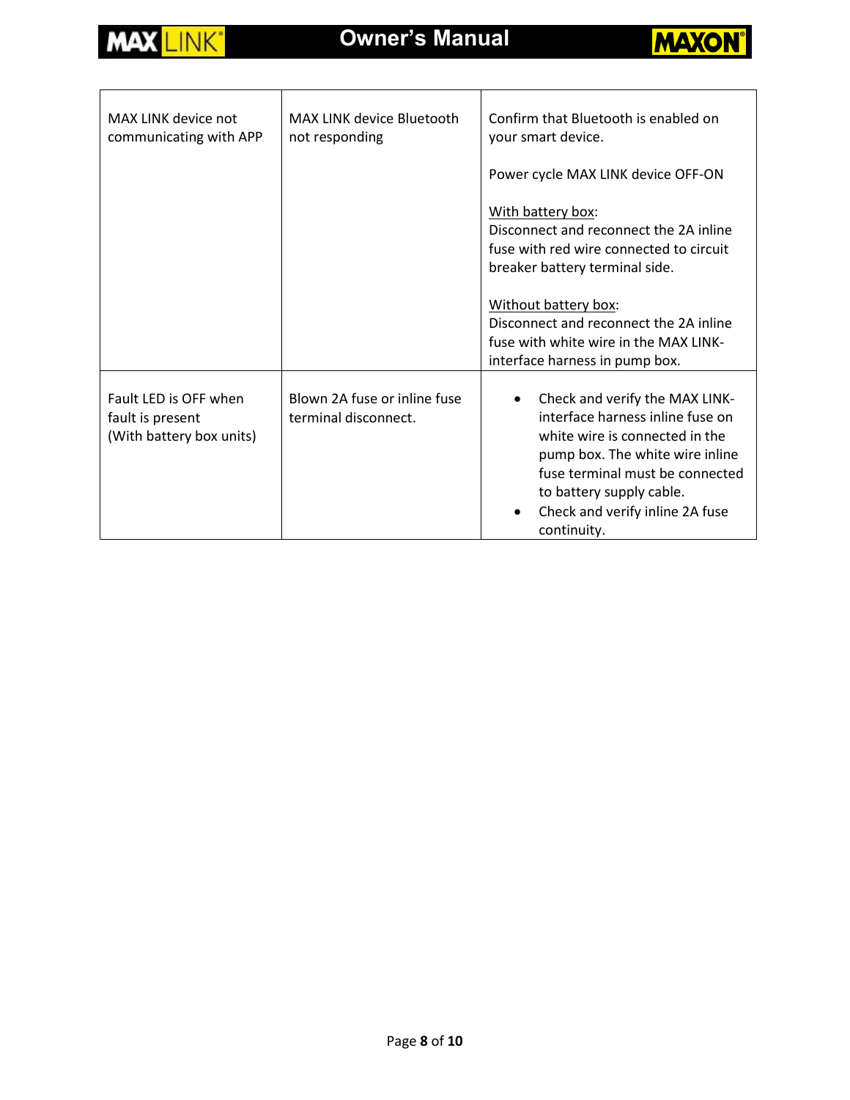



| MAX LINK device not<br>communicating with APP                         | MAX LINK device Bluetooth<br>not responding          | Confirm that Bluetooth is enabled on<br>your smart device.<br>Power cycle MAX LINK device OFF-ON                                                                                                                                                                      |
|-----------------------------------------------------------------------|------------------------------------------------------|-----------------------------------------------------------------------------------------------------------------------------------------------------------------------------------------------------------------------------------------------------------------------|
|                                                                       |                                                      | With battery box:<br>Disconnect and reconnect the 2A inline<br>fuse with red wire connected to circuit<br>breaker battery terminal side.                                                                                                                              |
|                                                                       |                                                      | Without battery box:<br>Disconnect and reconnect the 2A inline<br>fuse with white wire in the MAX LINK-<br>interface harness in pump box.                                                                                                                             |
| Fault LED is OFF when<br>fault is present<br>(With battery box units) | Blown 2A fuse or inline fuse<br>terminal disconnect. | Check and verify the MAX LINK-<br>$\bullet$<br>interface harness inline fuse on<br>white wire is connected in the<br>pump box. The white wire inline<br>fuse terminal must be connected<br>to battery supply cable.<br>Check and verify inline 2A fuse<br>continuity. |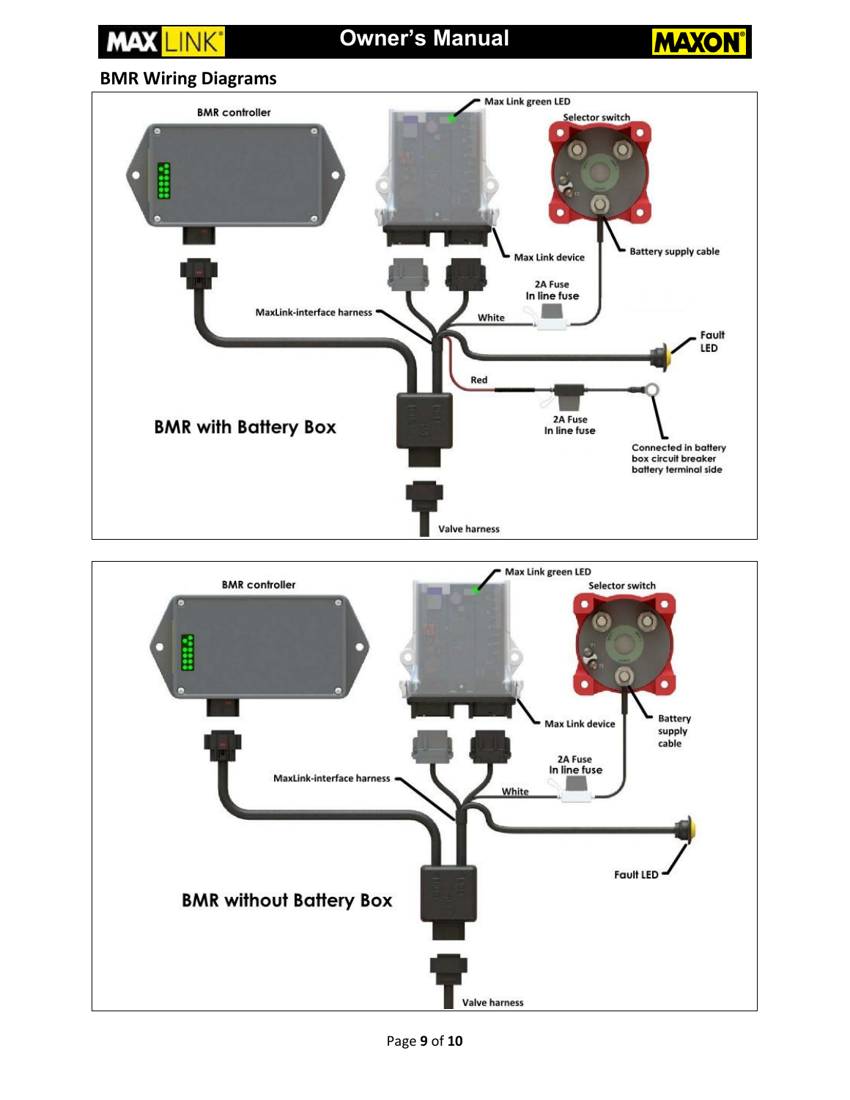## <span id="page-8-0"></span>**Owner's Manual** LINK<sup>\*</sup> **MAXON BMR Wiring Diagrams** Max Link green LED **BMR** controller Selector switch  $\Omega$ **Battery supply cable Max Link device** 2A Fuse<br>In line fuse **MaxLink-interface harness** White Fault LED Red 2A Fuse<br>In line fuse **BMR with Battery Box Connected in battery** box circuit breaker battery terminal side **Valve harness**



Page **9** of **10**